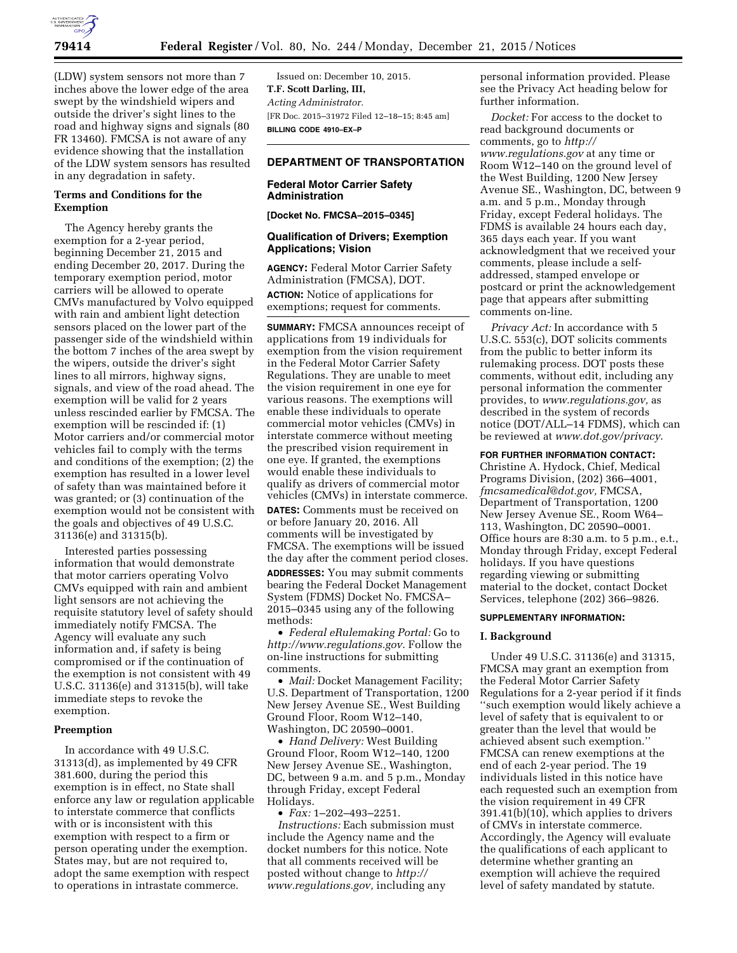

(LDW) system sensors not more than 7 inches above the lower edge of the area swept by the windshield wipers and outside the driver's sight lines to the road and highway signs and signals (80 FR 13460). FMCSA is not aware of any evidence showing that the installation of the LDW system sensors has resulted in any degradation in safety.

# **Terms and Conditions for the Exemption**

The Agency hereby grants the exemption for a 2-year period, beginning December 21, 2015 and ending December 20, 2017. During the temporary exemption period, motor carriers will be allowed to operate CMVs manufactured by Volvo equipped with rain and ambient light detection sensors placed on the lower part of the passenger side of the windshield within the bottom 7 inches of the area swept by the wipers, outside the driver's sight lines to all mirrors, highway signs, signals, and view of the road ahead. The exemption will be valid for 2 years unless rescinded earlier by FMCSA. The exemption will be rescinded if: (1) Motor carriers and/or commercial motor vehicles fail to comply with the terms and conditions of the exemption; (2) the exemption has resulted in a lower level of safety than was maintained before it was granted; or (3) continuation of the exemption would not be consistent with the goals and objectives of 49 U.S.C. 31136(e) and 31315(b).

Interested parties possessing information that would demonstrate that motor carriers operating Volvo CMVs equipped with rain and ambient light sensors are not achieving the requisite statutory level of safety should immediately notify FMCSA. The Agency will evaluate any such information and, if safety is being compromised or if the continuation of the exemption is not consistent with 49 U.S.C. 31136(e) and 31315(b), will take immediate steps to revoke the exemption.

## **Preemption**

In accordance with 49 U.S.C. 31313(d), as implemented by 49 CFR 381.600, during the period this exemption is in effect, no State shall enforce any law or regulation applicable to interstate commerce that conflicts with or is inconsistent with this exemption with respect to a firm or person operating under the exemption. States may, but are not required to, adopt the same exemption with respect to operations in intrastate commerce.

Issued on: December 10, 2015. **T.F. Scott Darling, III,**  *Acting Administrator.*  [FR Doc. 2015–31972 Filed 12–18–15; 8:45 am] **BILLING CODE 4910–EX–P** 

# **DEPARTMENT OF TRANSPORTATION**

# **Federal Motor Carrier Safety Administration**

**[Docket No. FMCSA–2015–0345]** 

# **Qualification of Drivers; Exemption Applications; Vision**

**AGENCY:** Federal Motor Carrier Safety Administration (FMCSA), DOT. **ACTION:** Notice of applications for exemptions; request for comments.

**SUMMARY:** FMCSA announces receipt of applications from 19 individuals for exemption from the vision requirement in the Federal Motor Carrier Safety Regulations. They are unable to meet the vision requirement in one eye for various reasons. The exemptions will enable these individuals to operate commercial motor vehicles (CMVs) in interstate commerce without meeting the prescribed vision requirement in one eye. If granted, the exemptions would enable these individuals to qualify as drivers of commercial motor vehicles (CMVs) in interstate commerce.

**DATES:** Comments must be received on or before January 20, 2016. All comments will be investigated by FMCSA. The exemptions will be issued the day after the comment period closes. **ADDRESSES:** You may submit comments bearing the Federal Docket Management System (FDMS) Docket No. FMCSA– 2015–0345 using any of the following methods:

• *Federal eRulemaking Portal:* Go to *<http://www.regulations.gov>*. Follow the on-line instructions for submitting comments.

• *Mail:* Docket Management Facility; U.S. Department of Transportation, 1200 New Jersey Avenue SE., West Building Ground Floor, Room W12–140, Washington, DC 20590–0001.

• *Hand Delivery:* West Building Ground Floor, Room W12–140, 1200 New Jersey Avenue SE., Washington, DC, between 9 a.m. and 5 p.m., Monday through Friday, except Federal Holidays.

• *Fax:* 1–202–493–2251. *Instructions:* Each submission must include the Agency name and the docket numbers for this notice. Note that all comments received will be posted without change to *[http://](http://www.regulations.gov) [www.regulations.gov,](http://www.regulations.gov)* including any

personal information provided. Please see the Privacy Act heading below for further information.

*Docket:* For access to the docket to read background documents or comments, go to *[http://](http://www.regulations.gov) [www.regulations.gov](http://www.regulations.gov)* at any time or Room W12–140 on the ground level of the West Building, 1200 New Jersey Avenue SE., Washington, DC, between 9 a.m. and 5 p.m., Monday through Friday, except Federal holidays. The FDMS is available 24 hours each day, 365 days each year. If you want acknowledgment that we received your comments, please include a selfaddressed, stamped envelope or postcard or print the acknowledgement page that appears after submitting comments on-line.

*Privacy Act:* In accordance with 5 U.S.C. 553(c), DOT solicits comments from the public to better inform its rulemaking process. DOT posts these comments, without edit, including any personal information the commenter provides, to *[www.regulations.gov,](http://www.regulations.gov)* as described in the system of records notice (DOT/ALL–14 FDMS), which can be reviewed at *[www.dot.gov/privacy](http://www.dot.gov/privacy)*.

**FOR FURTHER INFORMATION CONTACT:** 

Christine A. Hydock, Chief, Medical Programs Division, (202) 366–4001, *[fmcsamedical@dot.gov,](mailto:fmcsamedical@dot.gov)* FMCSA, Department of Transportation, 1200 New Jersey Avenue SE., Room W64– 113, Washington, DC 20590–0001. Office hours are 8:30 a.m. to 5 p.m., e.t., Monday through Friday, except Federal holidays. If you have questions regarding viewing or submitting material to the docket, contact Docket Services, telephone (202) 366–9826.

### **SUPPLEMENTARY INFORMATION:**

# **I. Background**

Under 49 U.S.C. 31136(e) and 31315, FMCSA may grant an exemption from the Federal Motor Carrier Safety Regulations for a 2-year period if it finds ''such exemption would likely achieve a level of safety that is equivalent to or greater than the level that would be achieved absent such exemption.'' FMCSA can renew exemptions at the end of each 2-year period. The 19 individuals listed in this notice have each requested such an exemption from the vision requirement in 49 CFR 391.41(b)(10), which applies to drivers of CMVs in interstate commerce. Accordingly, the Agency will evaluate the qualifications of each applicant to determine whether granting an exemption will achieve the required level of safety mandated by statute.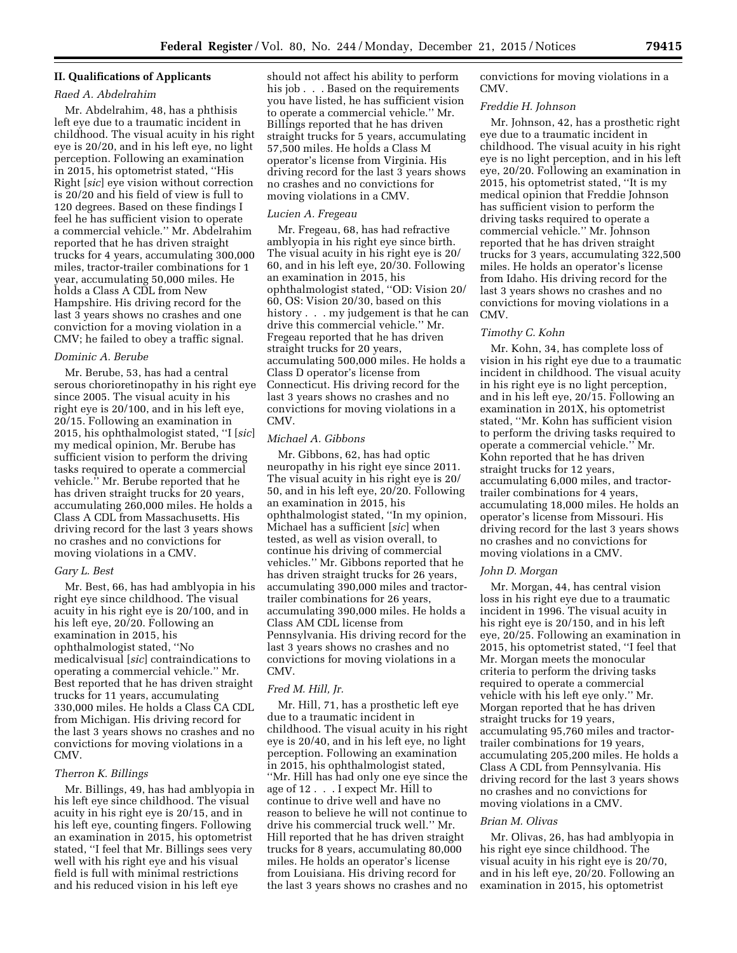## **II. Qualifications of Applicants**

## *Raed A. Abdelrahim*

Mr. Abdelrahim, 48, has a phthisis left eye due to a traumatic incident in childhood. The visual acuity in his right eye is 20/20, and in his left eye, no light perception. Following an examination in 2015, his optometrist stated, ''His Right [*sic*] eye vision without correction is 20/20 and his field of view is full to 120 degrees. Based on these findings I feel he has sufficient vision to operate a commercial vehicle.'' Mr. Abdelrahim reported that he has driven straight trucks for 4 years, accumulating 300,000 miles, tractor-trailer combinations for 1 year, accumulating 50,000 miles. He holds a Class A CDL from New Hampshire. His driving record for the last 3 years shows no crashes and one conviction for a moving violation in a CMV; he failed to obey a traffic signal.

### *Dominic A. Berube*

Mr. Berube, 53, has had a central serous chorioretinopathy in his right eye since 2005. The visual acuity in his right eye is 20/100, and in his left eye, 20/15. Following an examination in 2015, his ophthalmologist stated, ''I [*sic*] my medical opinion, Mr. Berube has sufficient vision to perform the driving tasks required to operate a commercial vehicle.'' Mr. Berube reported that he has driven straight trucks for 20 years, accumulating 260,000 miles. He holds a Class A CDL from Massachusetts. His driving record for the last 3 years shows no crashes and no convictions for moving violations in a CMV.

#### *Gary L. Best*

Mr. Best, 66, has had amblyopia in his right eye since childhood. The visual acuity in his right eye is 20/100, and in his left eye, 20/20. Following an examination in 2015, his ophthalmologist stated, ''No medicalvisual [*sic*] contraindications to operating a commercial vehicle.'' Mr. Best reported that he has driven straight trucks for 11 years, accumulating 330,000 miles. He holds a Class CA CDL from Michigan. His driving record for the last 3 years shows no crashes and no convictions for moving violations in a CMV.

## *Therron K. Billings*

Mr. Billings, 49, has had amblyopia in his left eye since childhood. The visual acuity in his right eye is 20/15, and in his left eye, counting fingers. Following an examination in 2015, his optometrist stated, ''I feel that Mr. Billings sees very well with his right eye and his visual field is full with minimal restrictions and his reduced vision in his left eye

should not affect his ability to perform his job . . . Based on the requirements you have listed, he has sufficient vision to operate a commercial vehicle.'' Mr. Billings reported that he has driven straight trucks for 5 years, accumulating 57,500 miles. He holds a Class M operator's license from Virginia. His driving record for the last 3 years shows no crashes and no convictions for moving violations in a CMV.

#### *Lucien A. Fregeau*

Mr. Fregeau, 68, has had refractive amblyopia in his right eye since birth. The visual acuity in his right eye is 20/ 60, and in his left eye, 20/30. Following an examination in 2015, his ophthalmologist stated, ''OD: Vision 20/ 60, OS: Vision 20/30, based on this history  $\ldots$  my judgement is that he can drive this commercial vehicle.'' Mr. Fregeau reported that he has driven straight trucks for 20 years, accumulating 500,000 miles. He holds a Class D operator's license from Connecticut. His driving record for the last 3 years shows no crashes and no convictions for moving violations in a CMV.

### *Michael A. Gibbons*

Mr. Gibbons, 62, has had optic neuropathy in his right eye since 2011. The visual acuity in his right eye is 20/ 50, and in his left eye, 20/20. Following an examination in 2015, his ophthalmologist stated, ''In my opinion, Michael has a sufficient [*sic*] when tested, as well as vision overall, to continue his driving of commercial vehicles.'' Mr. Gibbons reported that he has driven straight trucks for 26 years, accumulating 390,000 miles and tractortrailer combinations for 26 years, accumulating 390,000 miles. He holds a Class AM CDL license from Pennsylvania. His driving record for the last 3 years shows no crashes and no convictions for moving violations in a CMV.

## *Fred M. Hill, Jr.*

Mr. Hill, 71, has a prosthetic left eye due to a traumatic incident in childhood. The visual acuity in his right eye is 20/40, and in his left eye, no light perception. Following an examination in 2015, his ophthalmologist stated, ''Mr. Hill has had only one eye since the age of 12 . . . I expect Mr. Hill to continue to drive well and have no reason to believe he will not continue to drive his commercial truck well.'' Mr. Hill reported that he has driven straight trucks for 8 years, accumulating 80,000 miles. He holds an operator's license from Louisiana. His driving record for the last 3 years shows no crashes and no

convictions for moving violations in a CMV.

#### *Freddie H. Johnson*

Mr. Johnson, 42, has a prosthetic right eye due to a traumatic incident in childhood. The visual acuity in his right eye is no light perception, and in his left eye, 20/20. Following an examination in 2015, his optometrist stated, ''It is my medical opinion that Freddie Johnson has sufficient vision to perform the driving tasks required to operate a commercial vehicle.'' Mr. Johnson reported that he has driven straight trucks for 3 years, accumulating 322,500 miles. He holds an operator's license from Idaho. His driving record for the last 3 years shows no crashes and no convictions for moving violations in a CMV.

## *Timothy C. Kohn*

Mr. Kohn, 34, has complete loss of vision in his right eye due to a traumatic incident in childhood. The visual acuity in his right eye is no light perception, and in his left eye, 20/15. Following an examination in 201X, his optometrist stated, ''Mr. Kohn has sufficient vision to perform the driving tasks required to operate a commercial vehicle.'' Mr. Kohn reported that he has driven straight trucks for 12 years, accumulating 6,000 miles, and tractortrailer combinations for 4 years, accumulating 18,000 miles. He holds an operator's license from Missouri. His driving record for the last 3 years shows no crashes and no convictions for moving violations in a CMV.

#### *John D. Morgan*

Mr. Morgan, 44, has central vision loss in his right eye due to a traumatic incident in 1996. The visual acuity in his right eye is 20/150, and in his left eye, 20/25. Following an examination in 2015, his optometrist stated, ''I feel that Mr. Morgan meets the monocular criteria to perform the driving tasks required to operate a commercial vehicle with his left eye only.'' Mr. Morgan reported that he has driven straight trucks for 19 years, accumulating 95,760 miles and tractortrailer combinations for 19 years, accumulating 205,200 miles. He holds a Class A CDL from Pennsylvania. His driving record for the last 3 years shows no crashes and no convictions for moving violations in a CMV.

#### *Brian M. Olivas*

Mr. Olivas, 26, has had amblyopia in his right eye since childhood. The visual acuity in his right eye is 20/70, and in his left eye, 20/20. Following an examination in 2015, his optometrist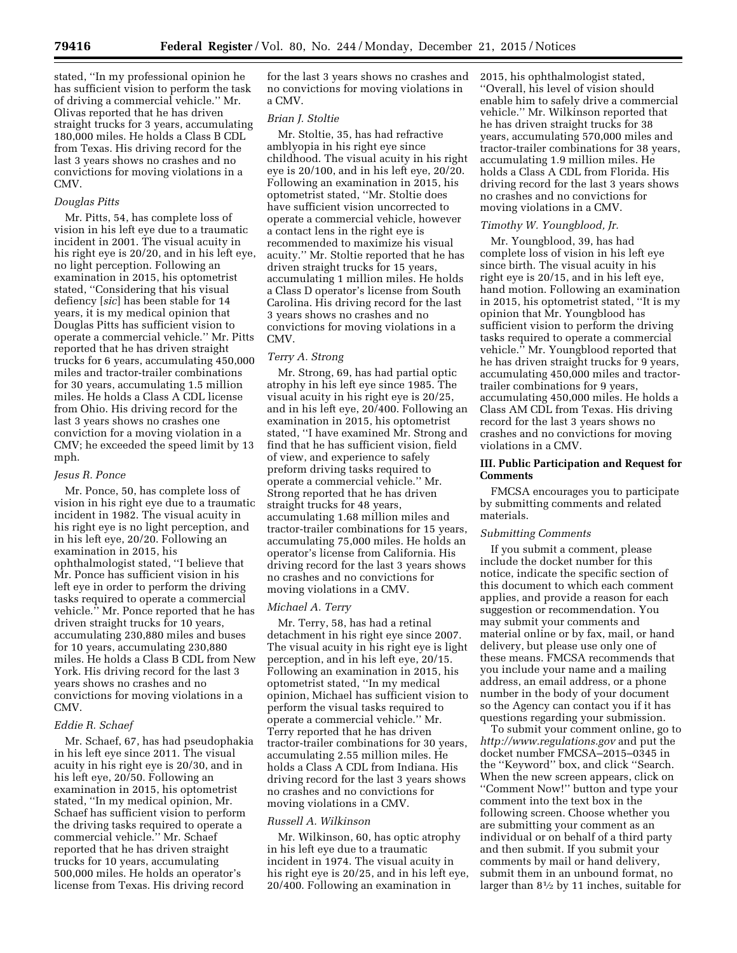stated, ''In my professional opinion he has sufficient vision to perform the task of driving a commercial vehicle.'' Mr. Olivas reported that he has driven straight trucks for 3 years, accumulating 180,000 miles. He holds a Class B CDL from Texas. His driving record for the last 3 years shows no crashes and no convictions for moving violations in a CMV.

### *Douglas Pitts*

Mr. Pitts, 54, has complete loss of vision in his left eye due to a traumatic incident in 2001. The visual acuity in his right eye is 20/20, and in his left eye, no light perception. Following an examination in 2015, his optometrist stated, ''Considering that his visual defiency [*sic*] has been stable for 14 years, it is my medical opinion that Douglas Pitts has sufficient vision to operate a commercial vehicle.'' Mr. Pitts reported that he has driven straight trucks for 6 years, accumulating 450,000 miles and tractor-trailer combinations for 30 years, accumulating 1.5 million miles. He holds a Class A CDL license from Ohio. His driving record for the last 3 years shows no crashes one conviction for a moving violation in a CMV; he exceeded the speed limit by 13 mph.

## *Jesus R. Ponce*

Mr. Ponce, 50, has complete loss of vision in his right eye due to a traumatic incident in 1982. The visual acuity in his right eye is no light perception, and in his left eye, 20/20. Following an examination in 2015, his ophthalmologist stated, ''I believe that Mr. Ponce has sufficient vision in his left eye in order to perform the driving tasks required to operate a commercial vehicle.'' Mr. Ponce reported that he has driven straight trucks for 10 years, accumulating 230,880 miles and buses for 10 years, accumulating 230,880 miles. He holds a Class B CDL from New York. His driving record for the last 3 years shows no crashes and no convictions for moving violations in a CMV.

## *Eddie R. Schaef*

Mr. Schaef, 67, has had pseudophakia in his left eye since 2011. The visual acuity in his right eye is 20/30, and in his left eye, 20/50. Following an examination in 2015, his optometrist stated, ''In my medical opinion, Mr. Schaef has sufficient vision to perform the driving tasks required to operate a commercial vehicle.'' Mr. Schaef reported that he has driven straight trucks for 10 years, accumulating 500,000 miles. He holds an operator's license from Texas. His driving record

for the last 3 years shows no crashes and no convictions for moving violations in a CMV.

### *Brian J. Stoltie*

Mr. Stoltie, 35, has had refractive amblyopia in his right eye since childhood. The visual acuity in his right eye is 20/100, and in his left eye, 20/20. Following an examination in 2015, his optometrist stated, ''Mr. Stoltie does have sufficient vision uncorrected to operate a commercial vehicle, however a contact lens in the right eye is recommended to maximize his visual acuity.'' Mr. Stoltie reported that he has driven straight trucks for 15 years, accumulating 1 million miles. He holds a Class D operator's license from South Carolina. His driving record for the last 3 years shows no crashes and no convictions for moving violations in a CMV.

#### *Terry A. Strong*

Mr. Strong, 69, has had partial optic atrophy in his left eye since 1985. The visual acuity in his right eye is 20/25, and in his left eye, 20/400. Following an examination in 2015, his optometrist stated, ''I have examined Mr. Strong and find that he has sufficient vision, field of view, and experience to safely preform driving tasks required to operate a commercial vehicle.'' Mr. Strong reported that he has driven straight trucks for 48 years, accumulating 1.68 million miles and tractor-trailer combinations for 15 years, accumulating 75,000 miles. He holds an operator's license from California. His driving record for the last 3 years shows no crashes and no convictions for moving violations in a CMV.

### *Michael A. Terry*

Mr. Terry, 58, has had a retinal detachment in his right eye since 2007. The visual acuity in his right eye is light perception, and in his left eye, 20/15. Following an examination in 2015, his optometrist stated, ''In my medical opinion, Michael has sufficient vision to perform the visual tasks required to operate a commercial vehicle.'' Mr. Terry reported that he has driven tractor-trailer combinations for 30 years, accumulating 2.55 million miles. He holds a Class A CDL from Indiana. His driving record for the last 3 years shows no crashes and no convictions for moving violations in a CMV.

#### *Russell A. Wilkinson*

Mr. Wilkinson, 60, has optic atrophy in his left eye due to a traumatic incident in 1974. The visual acuity in his right eye is 20/25, and in his left eye, 20/400. Following an examination in

2015, his ophthalmologist stated, ''Overall, his level of vision should enable him to safely drive a commercial vehicle.'' Mr. Wilkinson reported that he has driven straight trucks for 38 years, accumulating 570,000 miles and tractor-trailer combinations for 38 years, accumulating 1.9 million miles. He holds a Class A CDL from Florida. His driving record for the last 3 years shows no crashes and no convictions for moving violations in a CMV.

## *Timothy W. Youngblood, Jr.*

Mr. Youngblood, 39, has had complete loss of vision in his left eye since birth. The visual acuity in his right eye is 20/15, and in his left eye, hand motion. Following an examination in 2015, his optometrist stated, ''It is my opinion that Mr. Youngblood has sufficient vision to perform the driving tasks required to operate a commercial vehicle.'' Mr. Youngblood reported that he has driven straight trucks for 9 years, accumulating 450,000 miles and tractortrailer combinations for 9 years, accumulating 450,000 miles. He holds a Class AM CDL from Texas. His driving record for the last 3 years shows no crashes and no convictions for moving violations in a CMV.

## **III. Public Participation and Request for Comments**

FMCSA encourages you to participate by submitting comments and related materials.

## *Submitting Comments*

If you submit a comment, please include the docket number for this notice, indicate the specific section of this document to which each comment applies, and provide a reason for each suggestion or recommendation. You may submit your comments and material online or by fax, mail, or hand delivery, but please use only one of these means. FMCSA recommends that you include your name and a mailing address, an email address, or a phone number in the body of your document so the Agency can contact you if it has questions regarding your submission.

To submit your comment online, go to *<http://www.regulations.gov>* and put the docket number FMCSA–2015–0345 in the ''Keyword'' box, and click ''Search. When the new screen appears, click on ''Comment Now!'' button and type your comment into the text box in the following screen. Choose whether you are submitting your comment as an individual or on behalf of a third party and then submit. If you submit your comments by mail or hand delivery, submit them in an unbound format, no larger than 81⁄2 by 11 inches, suitable for